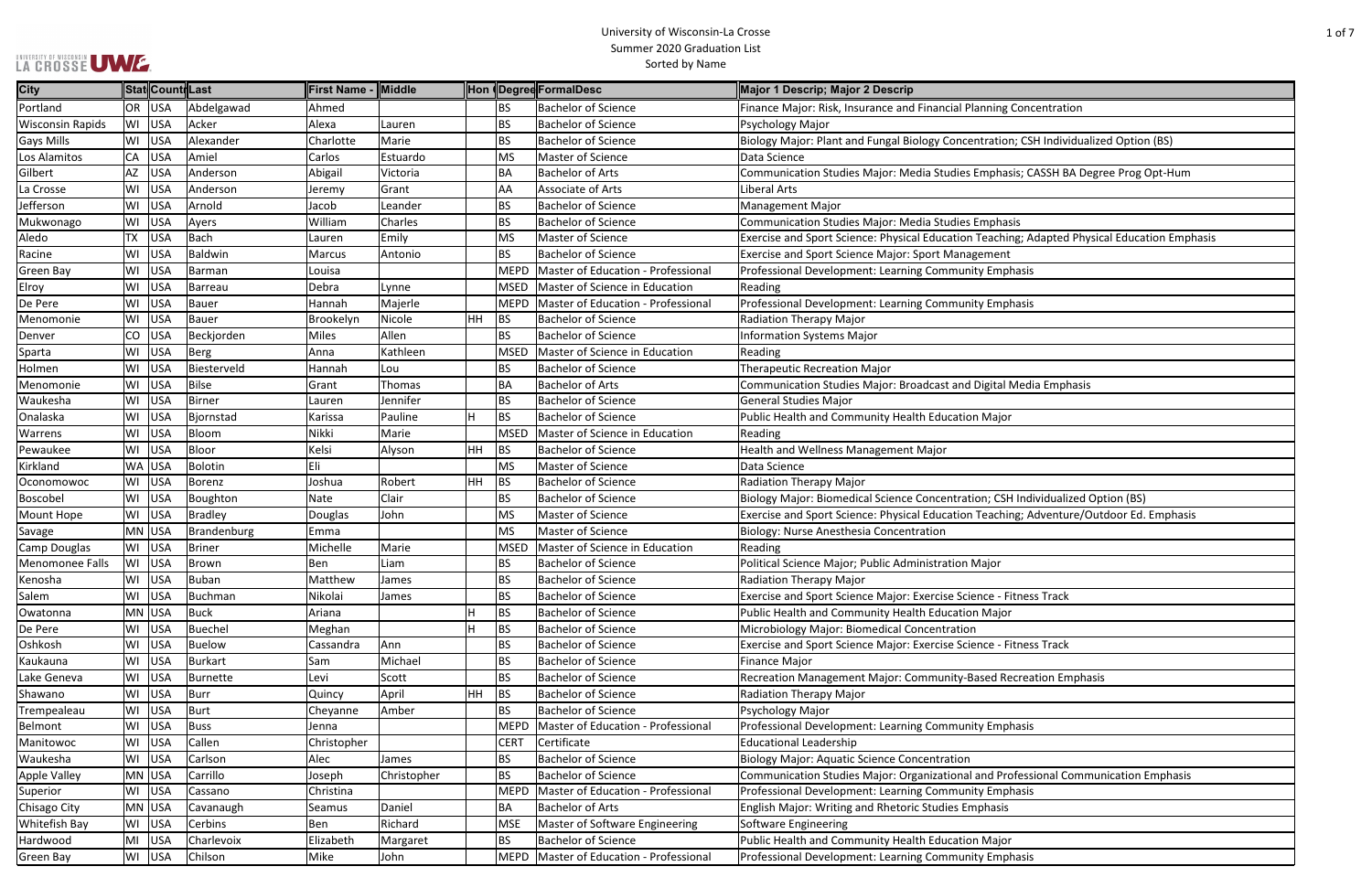|  |  | LA CROSSE UMZE |  |
|--|--|----------------|--|

| Concentration                           |
|-----------------------------------------|
|                                         |
| n; CSH Individualized Option (BS)       |
|                                         |
| sis; CASSH BA Degree Prog Opt-Hum       |
|                                         |
|                                         |
| sis                                     |
| ng; Adapted Physical Education Emphasis |
|                                         |
| hasis                                   |
|                                         |
|                                         |
| hasis                                   |
|                                         |
|                                         |
|                                         |
|                                         |
| Media Emphasis                          |
|                                         |
| r                                       |
|                                         |
|                                         |
|                                         |
|                                         |
| H Individualized Option (BS)            |
| ng; Adventure/Outdoor Ed. Emphasis      |
|                                         |
|                                         |
|                                         |
|                                         |
| itness Track                            |
|                                         |
|                                         |
| itness Track                            |
|                                         |
| ecreation Emphasis                      |
|                                         |
|                                         |
|                                         |
| hasis                                   |
|                                         |
|                                         |
| ofessional Communication Emphasis       |
| hasis                                   |
|                                         |
|                                         |
|                                         |
| hasis                                   |

| <b>City</b>             |           | Stat Count Last |                | <b>First Name - Middle</b> |             |    |             | Hon Degred FormalDesc                   | Major 1 Descrip; Major 2 Descrip                                                             |
|-------------------------|-----------|-----------------|----------------|----------------------------|-------------|----|-------------|-----------------------------------------|----------------------------------------------------------------------------------------------|
| Portland                |           | OR USA          | Abdelgawad     | Ahmed                      |             |    | <b>BS</b>   | <b>Bachelor of Science</b>              | Finance Major: Risk, Insurance and Financial Planning Concentration                          |
| <b>Wisconsin Rapids</b> |           | WI USA          | Acker          | Alexa                      | Lauren      |    | <b>BS</b>   | <b>Bachelor of Science</b>              | Psychology Major                                                                             |
| <b>Gays Mills</b>       | WI        | <b>USA</b>      | Alexander      | Charlotte                  | Marie       |    | <b>BS</b>   | <b>Bachelor of Science</b>              | Biology Major: Plant and Fungal Biology Concentration; CSH Individualized Option (BS)        |
| Los Alamitos            | CA        | USA             | Amiel          | Carlos                     | Estuardo    |    | MS          | Master of Science                       | Data Science                                                                                 |
| Gilbert                 | AZ        | USA             | Anderson       | Abigail                    | Victoria    |    | <b>BA</b>   | <b>Bachelor of Arts</b>                 | Communication Studies Major: Media Studies Emphasis; CASSH BA Degree Prog Opt-Hum            |
| La Crosse               | WI        | USA             | Anderson       | Jeremy                     | Grant       |    | AA          | Associate of Arts                       | Liberal Arts                                                                                 |
| Jefferson               | WI        | USA             | Arnold         | Jacob                      | Leander     |    | <b>BS</b>   | <b>Bachelor of Science</b>              | Management Major                                                                             |
| Mukwonago               | WI        | <b>USA</b>      | Ayers          | William                    | Charles     |    | <b>BS</b>   | <b>Bachelor of Science</b>              | <b>Communication Studies Major: Media Studies Emphasis</b>                                   |
| Aledo                   | <b>TX</b> | USA             | <b>Bach</b>    | Lauren                     | Emily       |    | MS          | Master of Science                       | Exercise and Sport Science: Physical Education Teaching; Adapted Physical Education Emphasis |
| Racine                  | WI        | USA             | Baldwin        | Marcus                     | Antonio     |    | <b>BS</b>   | <b>Bachelor of Science</b>              | Exercise and Sport Science Major: Sport Management                                           |
| <b>Green Bay</b>        | WI        | USA             | <b>Barman</b>  | Louisa                     |             |    | <b>MEPD</b> | Master of Education - Professional      | Professional Development: Learning Community Emphasis                                        |
| Elroy                   | WI        | USA             | Barreau        | Debra                      | Lynne       |    | <b>MSED</b> | Master of Science in Education          | Reading                                                                                      |
| De Pere                 | WI        | USA             | <b>Bauer</b>   | Hannah                     | Majerle     |    | <b>MEPD</b> | Master of Education - Professional      | Professional Development: Learning Community Emphasis                                        |
| Menomonie               | WI        | <b>USA</b>      | Bauer          | Brookelyn                  | Nicole      | HH | BS          | <b>Bachelor of Science</b>              | <b>Radiation Therapy Major</b>                                                               |
| Denver                  |           | CO USA          | Beckjorden     | <b>Miles</b>               | Allen       |    | <b>BS</b>   | <b>Bachelor of Science</b>              | <b>Information Systems Major</b>                                                             |
| Sparta                  | WI        | USA             | Berg           | Anna                       | Kathleen    |    | <b>MSED</b> | Master of Science in Education          | Reading                                                                                      |
| Holmen                  | WI        | USA             | Biesterveld    | Hannah                     | Lou         |    | <b>BS</b>   | <b>Bachelor of Science</b>              | <b>Therapeutic Recreation Major</b>                                                          |
| Menomonie               | WI        | USA             | <b>Bilse</b>   | Grant                      | Thomas      |    | <b>BA</b>   | <b>Bachelor of Arts</b>                 | Communication Studies Major: Broadcast and Digital Media Emphasis                            |
| Waukesha                |           | WI USA          | <b>Birner</b>  | Lauren                     | Jennifer    |    | <b>BS</b>   | <b>Bachelor of Science</b>              | <b>General Studies Major</b>                                                                 |
| Onalaska                | WI        | <b>USA</b>      | Bjornstad      | Karissa                    | Pauline     | H  | BS          | <b>Bachelor of Science</b>              | Public Health and Community Health Education Major                                           |
| Warrens                 | WI        | USA             | Bloom          | Nikki                      | Marie       |    | <b>MSED</b> | Master of Science in Education          | Reading                                                                                      |
| Pewaukee                |           | WI USA          | Bloor          | Kelsi                      | Alyson      | HH | BS          | <b>Bachelor of Science</b>              | Health and Wellness Management Major                                                         |
| Kirkland                |           | WA USA          | <b>Bolotin</b> | Eli                        |             |    | MS          | Master of Science                       | Data Science                                                                                 |
| Oconomowoc              |           | WI USA          | Borenz         | Joshua                     | Robert      | HH | BS          | <b>Bachelor of Science</b>              | Radiation Therapy Major                                                                      |
| Boscobel                | WI        | USA             | Boughton       | Nate                       | Clair       |    | <b>BS</b>   | <b>Bachelor of Science</b>              | Biology Major: Biomedical Science Concentration; CSH Individualized Option (BS)              |
| Mount Hope              |           | WI USA          | <b>Bradley</b> | Douglas                    | John        |    | <b>MS</b>   | Master of Science                       | Exercise and Sport Science: Physical Education Teaching; Adventure/Outdoor Ed. Emphasis      |
| Savage                  |           | MN USA          | Brandenburg    | Emma                       |             |    | MS          | Master of Science                       | Biology: Nurse Anesthesia Concentration                                                      |
| Camp Douglas            |           | WI USA          | <b>Briner</b>  | Michelle                   | Marie       |    | <b>MSED</b> | Master of Science in Education          | Reading                                                                                      |
| Menomonee Falls         | WI        | <b>USA</b>      | <b>Brown</b>   | Ben                        | Liam        |    | <b>BS</b>   | <b>Bachelor of Science</b>              | Political Science Major; Public Administration Major                                         |
| Kenosha                 | WI        | USA             | Buban          | Matthew                    | James       |    | <b>BS</b>   | <b>Bachelor of Science</b>              | <b>Radiation Therapy Major</b>                                                               |
| Salem                   |           | WI USA          | Buchman        | Nikolai                    | James       |    | <b>BS</b>   | <b>Bachelor of Science</b>              | Exercise and Sport Science Major: Exercise Science - Fitness Track                           |
| Owatonna                |           | MN USA          | <b>Buck</b>    | Ariana                     |             |    | BS          | <b>Bachelor of Science</b>              | Public Health and Community Health Education Major                                           |
| De Pere                 |           | WI USA          | Buechel        | Meghan                     |             | H  | <b>BS</b>   | <b>Bachelor of Science</b>              | Microbiology Major: Biomedical Concentration                                                 |
| Oshkosh                 |           | WI USA          | <b>Buelow</b>  | Cassandra                  | Ann         |    | <b>BS</b>   | <b>Bachelor of Science</b>              | Exercise and Sport Science Major: Exercise Science - Fitness Track                           |
| Kaukauna                | WI        | <b>USA</b>      | <b>Burkart</b> | Sam                        | Michael     |    | BS          | <b>Bachelor of Science</b>              | <b>Finance Major</b>                                                                         |
| Lake Geneva             | WI        | <b>USA</b>      | Burnette       | Levi                       | Scott       |    | <b>BS</b>   | <b>Bachelor of Science</b>              | Recreation Management Major: Community-Based Recreation Emphasis                             |
| Shawano                 | WI        | USA             | <b>Burr</b>    | Quincy                     | April       | HH | BS          | <b>Bachelor of Science</b>              | <b>Radiation Therapy Major</b>                                                               |
| Trempealeau             |           | WI USA          | Burt           | Cheyanne                   | Amber       |    | <b>BS</b>   | <b>Bachelor of Science</b>              | Psychology Major                                                                             |
| Belmont                 |           | WI USA          | <b>Buss</b>    | Jenna                      |             |    | MEPD        | Master of Education - Professional      | Professional Development: Learning Community Emphasis                                        |
| Manitowoc               |           | WI USA          | Callen         | Christopher                |             |    | <b>CERT</b> | Certificate                             | <b>Educational Leadership</b>                                                                |
| Waukesha                |           | WI USA          | Carlson        | Alec                       | James       |    | <b>BS</b>   | <b>Bachelor of Science</b>              | <b>Biology Major: Aquatic Science Concentration</b>                                          |
| Apple Valley            |           | MN USA          | Carrillo       | Joseph                     | Christopher |    | <b>BS</b>   | <b>Bachelor of Science</b>              | Communication Studies Major: Organizational and Professional Communication Emphasis          |
| Superior                |           | WI USA          | Cassano        | Christina                  |             |    | <b>MEPD</b> | Master of Education - Professional      | Professional Development: Learning Community Emphasis                                        |
| Chisago City            |           | MN USA          | Cavanaugh      | Seamus                     | Daniel      |    | <b>BA</b>   | <b>Bachelor of Arts</b>                 | <b>English Major: Writing and Rhetoric Studies Emphasis</b>                                  |
| <b>Whitefish Bay</b>    |           | WI USA          | Cerbins        | Ben                        | Richard     |    | <b>MSE</b>  | Master of Software Engineering          | Software Engineering                                                                         |
| Hardwood                |           | MI USA          | Charlevoix     | Elizabeth                  | Margaret    |    | <b>BS</b>   | <b>Bachelor of Science</b>              | Public Health and Community Health Education Major                                           |
| Green Bay               |           | WI USA          | Chilson        | Mike                       | John        |    |             | MEPD Master of Education - Professional | Professional Development: Learning Community Emphasis                                        |
|                         |           |                 |                |                            |             |    |             |                                         |                                                                                              |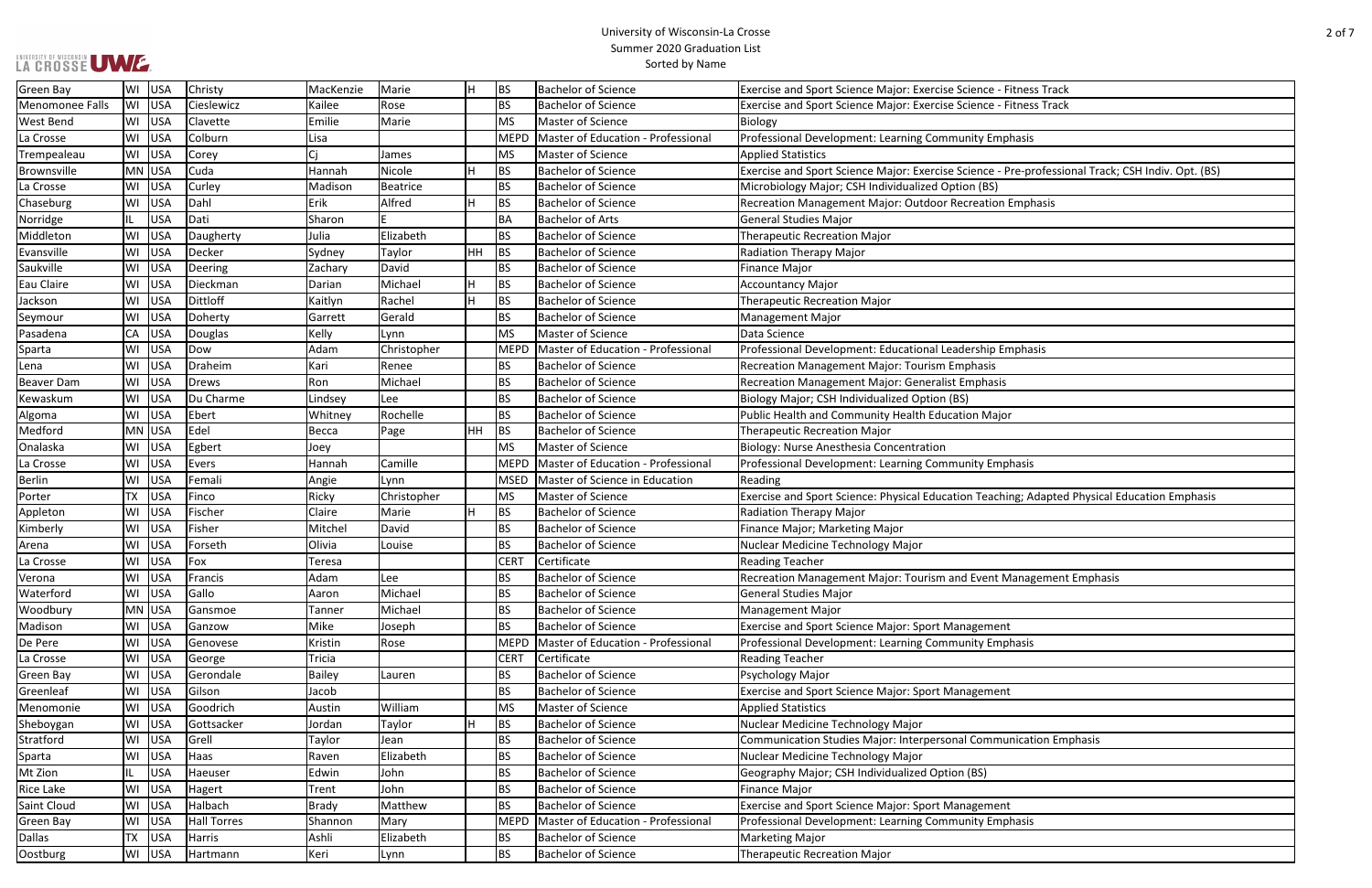| itness Track                                |
|---------------------------------------------|
| itness Track                                |
|                                             |
| hasis                                       |
|                                             |
|                                             |
| re-professional Track; CSH Indiv. Opt. (BS) |
|                                             |
| Emphasis                                    |
|                                             |
|                                             |
|                                             |
|                                             |
|                                             |
|                                             |
|                                             |
|                                             |
|                                             |
| nphasis                                     |
|                                             |
|                                             |
|                                             |
|                                             |
| ſ                                           |
|                                             |
|                                             |
| hasis                                       |
|                                             |
|                                             |
| ng; Adapted Physical Education Emphasis     |
|                                             |
|                                             |
|                                             |
|                                             |
|                                             |
| lanagement Emphasis                         |
|                                             |
|                                             |
|                                             |
| hasis                                       |
|                                             |
|                                             |
|                                             |
|                                             |
|                                             |
|                                             |
| nication Emphasis                           |
|                                             |
|                                             |
|                                             |
|                                             |
|                                             |
| hasis                                       |
|                                             |
|                                             |

| LA CROSSE UWE.    |           |            |                    |              |             |    |             | SUIIIIIIEI ZUZU GIAUUALIUII LISL<br>Sorted by Name |                                                                                                   |
|-------------------|-----------|------------|--------------------|--------------|-------------|----|-------------|----------------------------------------------------|---------------------------------------------------------------------------------------------------|
| <b>Green Bay</b>  | WI        | USA        | Christy            | MacKenzie    | Marie       | lн | BS          | <b>Bachelor of Science</b>                         | Exercise and Sport Science Major: Exercise Science - Fitness Track                                |
| Menomonee Falls   | WI        | USA        | Cieslewicz         | Kailee       | Rose        |    | <b>BS</b>   | <b>Bachelor of Science</b>                         | Exercise and Sport Science Major: Exercise Science - Fitness Track                                |
| West Bend         | WI        | USA        | Clavette           | Emilie       | Marie       |    | MS          | Master of Science                                  | Biology                                                                                           |
| La Crosse         | WI        | USA        | Colburn            | Lisa         |             |    | <b>MEPD</b> | Master of Education - Professional                 | Professional Development: Learning Community Emphasis                                             |
| Trempealeau       | WI        | USA        | Corey              | Cj           | James       |    | MS          | Master of Science                                  | <b>Applied Statistics</b>                                                                         |
| Brownsville       | MN        | USA        | Cuda               | Hannah       | Nicole      | H  | BS          | <b>Bachelor of Science</b>                         | Exercise and Sport Science Major: Exercise Science - Pre-professional Track; CSH Indiv. Opt. (BS) |
| La Crosse         | WI        | USA        | Curley             | Madison      | Beatrice    |    | <b>BS</b>   | <b>Bachelor of Science</b>                         | Microbiology Major; CSH Individualized Option (BS)                                                |
| Chaseburg         | WI        | USA        | Dahl               | Erik         | Alfred      | H  | BS          | <b>Bachelor of Science</b>                         | Recreation Management Major: Outdoor Recreation Emphasis                                          |
| Norridge          | IL.       | USA        | Dati               | Sharon       |             |    | <b>BA</b>   | <b>Bachelor of Arts</b>                            | <b>General Studies Major</b>                                                                      |
| Middleton         | WI        | USA        | Daugherty          | Julia        | Elizabeth   |    | <b>BS</b>   | <b>Bachelor of Science</b>                         | <b>Therapeutic Recreation Major</b>                                                               |
| Evansville        | WI        | <b>USA</b> | Decker             | Sydney       | Taylor      | HH | BS          | <b>Bachelor of Science</b>                         | Radiation Therapy Major                                                                           |
| Saukville         | WI        | USA        | Deering            | Zachary      | David       |    | <b>BS</b>   | <b>Bachelor of Science</b>                         | <b>Finance Major</b>                                                                              |
| Eau Claire        | WI        | USA        | Dieckman           | Darian       | Michael     | H  | BS          | Bachelor of Science                                | <b>Accountancy Major</b>                                                                          |
| Jackson           | WI        | USA        | Dittloff           | Kaitlyn      | Rachel      | lн | BS          | <b>Bachelor of Science</b>                         | <b>Therapeutic Recreation Major</b>                                                               |
| Seymour           | WI        | <b>USA</b> | Doherty            | Garrett      | Gerald      |    | <b>BS</b>   | <b>Bachelor of Science</b>                         | <b>Management Major</b>                                                                           |
| Pasadena          | СA        | USA        | Douglas            | Kelly        | Lynn        |    | MS          | Master of Science                                  | Data Science                                                                                      |
| Sparta            | WI        | USA        | Dow                | Adam         | Christopher |    | MEPD        | Master of Education - Professional                 | Professional Development: Educational Leadership Emphasis                                         |
| Lena              | WI        | USA        | Draheim            | Kari         | Renee       |    | <b>BS</b>   | <b>Bachelor of Science</b>                         | Recreation Management Major: Tourism Emphasis                                                     |
| <b>Beaver Dam</b> | WI        | <b>USA</b> | Drews              | Ron          | Michael     |    | <b>BS</b>   | <b>Bachelor of Science</b>                         | Recreation Management Major: Generalist Emphasis                                                  |
| Kewaskum          | WI        | USA        | Du Charme          | Lindsey      | Lee         |    | <b>BS</b>   | <b>Bachelor of Science</b>                         | Biology Major; CSH Individualized Option (BS)                                                     |
| Algoma            | WI        | USA        | Ebert              | Whitney      | Rochelle    |    | <b>BS</b>   | <b>Bachelor of Science</b>                         | Public Health and Community Health Education Major                                                |
| Medford           |           | MN USA     | Edel               | Becca        | Page        | HH | BS          | <b>Bachelor of Science</b>                         | <b>Therapeutic Recreation Major</b>                                                               |
| Onalaska          | WI        | USA        | Egbert             | Joey         |             |    | MS          | Master of Science                                  | Biology: Nurse Anesthesia Concentration                                                           |
| La Crosse         | W١        | USA        | Evers              | Hannah       | Camille     |    | <b>MEPD</b> | Master of Education - Professional                 | Professional Development: Learning Community Emphasis                                             |
| <b>Berlin</b>     | WI        | <b>USA</b> | Femali             | Angie        | Lynn        |    | <b>MSED</b> | Master of Science in Education                     | Reading                                                                                           |
| Porter            | <b>TX</b> | USA        | Finco              | Ricky        | Christopher |    | MS          | Master of Science                                  | Exercise and Sport Science: Physical Education Teaching; Adapted Physical Education Emphasis      |
| Appleton          | WI        | <b>USA</b> | Fischer            | Claire       | Marie       | Н  | BS          | <b>Bachelor of Science</b>                         | <b>Radiation Therapy Major</b>                                                                    |
| Kimberly          | WI        | <b>USA</b> | Fisher             | Mitchel      | David       |    | <b>BS</b>   | <b>Bachelor of Science</b>                         | Finance Major; Marketing Major                                                                    |
| Arena             | WI        | <b>USA</b> | Forseth            | Olivia       | Louise      |    | <b>BS</b>   | <b>Bachelor of Science</b>                         | Nuclear Medicine Technology Major                                                                 |
| a Crosse          | WI        | USA        | Fox                | Teresa       |             |    | <b>CERT</b> | Certificate                                        | <b>Reading Teacher</b>                                                                            |
| Verona            | W١        | USA        | Francis            | Adam         | Lee         |    | <b>BS</b>   | <b>Bachelor of Science</b>                         | Recreation Management Major: Tourism and Event Management Emphasis                                |
| Waterford         | WI        | <b>USA</b> | Gallo              | Aaron        | Michael     |    | <b>BS</b>   | <b>Bachelor of Science</b>                         | <b>General Studies Major</b>                                                                      |
| Woodbury          |           | MN USA     | Gansmoe            | Tanner       | Michael     |    | <b>BS</b>   | <b>Bachelor of Science</b>                         | <b>Management Major</b>                                                                           |
| Madison           | WI        | USA        | Ganzow             | Mike         | Joseph      |    | <b>BS</b>   | <b>Bachelor of Science</b>                         | <b>Exercise and Sport Science Major: Sport Management</b>                                         |
| De Pere           | WI        | USA        | Genovese           | Kristin      | Rose        |    | MEPD        | Master of Education - Professional                 | Professional Development: Learning Community Emphasis                                             |
| La Crosse         | WI        | USA        | George             | Tricia       |             |    | <b>CERT</b> | Certificate                                        | <b>Reading Teacher</b>                                                                            |
| Green Bay         | WI        | USA        | Gerondale          | Bailey       | Lauren      |    | <b>BS</b>   | <b>Bachelor of Science</b>                         | Psychology Major                                                                                  |
| Greenleaf         | WI        | USA        | Gilson             | Jacob        |             |    | <b>BS</b>   | <b>Bachelor of Science</b>                         | <b>Exercise and Sport Science Major: Sport Management</b>                                         |
| Menomonie         | WI        | <b>USA</b> | Goodrich           | Austin       | William     |    | MS          | Master of Science                                  | <b>Applied Statistics</b>                                                                         |
| Sheboygan         | WI        | USA        | Gottsacker         | Jordan       | Taylor      | H  | BS          | <b>Bachelor of Science</b>                         | Nuclear Medicine Technology Major                                                                 |
| Stratford         | WI        | USA        | Grell              | Taylor       | Jean        |    | <b>BS</b>   | <b>Bachelor of Science</b>                         | Communication Studies Major: Interpersonal Communication Emphasis                                 |
| Sparta            | WI        | <b>USA</b> | Haas               | Raven        | Elizabeth   |    | <b>BS</b>   | <b>Bachelor of Science</b>                         | Nuclear Medicine Technology Major                                                                 |
| Mt Zion           | IL        | <b>USA</b> | Haeuser            | Edwin        | John        |    | <b>BS</b>   | <b>Bachelor of Science</b>                         | Geography Major; CSH Individualized Option (BS)                                                   |
| Rice Lake         | WI        | <b>USA</b> | Hagert             | Trent        | John        |    | <b>BS</b>   | <b>Bachelor of Science</b>                         | <b>Finance Major</b>                                                                              |
| Saint Cloud       | WI        | USA        | Halbach            | <b>Brady</b> | Matthew     |    | <b>BS</b>   | <b>Bachelor of Science</b>                         | <b>Exercise and Sport Science Major: Sport Management</b>                                         |
| Green Bay         | WI        | USA        | <b>Hall Torres</b> | Shannon      | Mary        |    | MEPD        | Master of Education - Professional                 | Professional Development: Learning Community Emphasis                                             |
| Dallas            | <b>TX</b> | USA        | Harris             | Ashli        | Elizabeth   |    | <b>BS</b>   | <b>Bachelor of Science</b>                         | <b>Marketing Major</b>                                                                            |
| Oostburg          |           | WI USA     | Hartmann           | Keri         | Lynn        |    | <b>BS</b>   | <b>Bachelor of Science</b>                         | <b>Therapeutic Recreation Major</b>                                                               |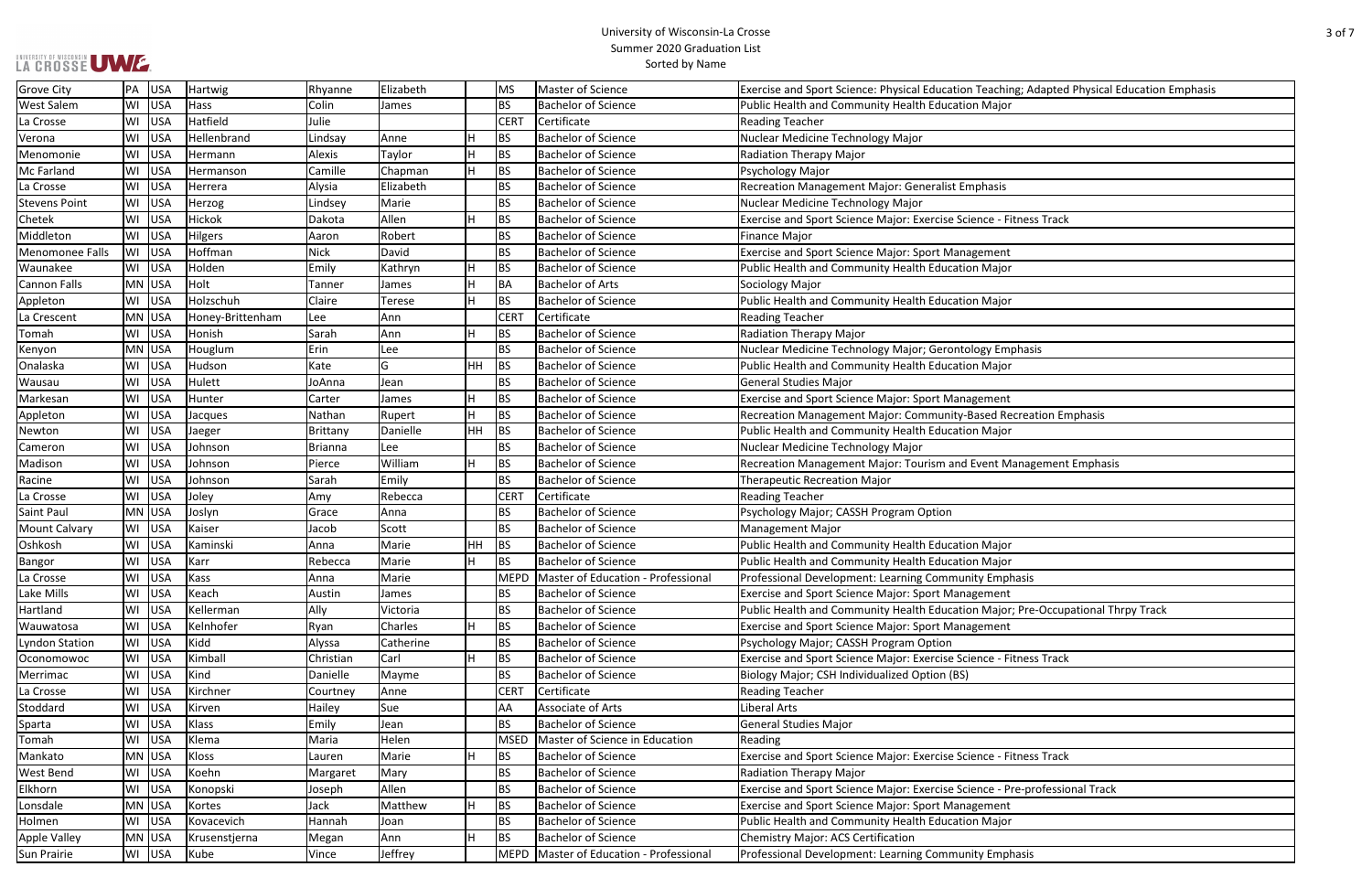| <b>LA GROSSE UWE.</b> |                  |                  |             |              |           |             | SUITIITEI ZUZU GIAUUALIOII LISL<br>Sorted by Name |                                                                                              |
|-----------------------|------------------|------------------|-------------|--------------|-----------|-------------|---------------------------------------------------|----------------------------------------------------------------------------------------------|
| <b>Grove City</b>     | PA USA           | Hartwig          | Rhyanne     | Elizabeth    |           | MS          | Master of Science                                 | Exercise and Sport Science: Physical Education Teaching; Adapted Physical Education Emphasis |
| West Salem            | WI<br>USA        | Hass             | Colin       | <b>James</b> |           | <b>BS</b>   | <b>Bachelor of Science</b>                        | Public Health and Community Health Education Major                                           |
| La Crosse             | USA<br>WI        | Hatfield         | Julie       |              |           | <b>CERT</b> | Certificate                                       | <b>Reading Teacher</b>                                                                       |
| Verona                | USA<br>W١        | Hellenbrand      | Lindsay     | Anne         | Н         | BS          | <b>Bachelor of Science</b>                        | Nuclear Medicine Technology Major                                                            |
| Menomonie             | USA<br>WI        | Hermann          | Alexis      | Taylor       | Н         | <b>BS</b>   | <b>Bachelor of Science</b>                        | Radiation Therapy Major                                                                      |
| Mc Farland            | USA<br>WI        | Hermanson        | Camille     | Chapman      | H         | <b>BS</b>   | <b>Bachelor of Science</b>                        | Psychology Major                                                                             |
| La Crosse             | USA<br>WI        | Herrera          | Alysia      | Elizabeth    |           | <b>BS</b>   | <b>Bachelor of Science</b>                        | <b>Recreation Management Major: Generalist Emphasis</b>                                      |
| <b>Stevens Point</b>  | WI<br>USA        | Herzog           | Lindsey     | Marie        |           | <b>BS</b>   | <b>Bachelor of Science</b>                        | Nuclear Medicine Technology Major                                                            |
| Chetek                | USA<br>W١        | Hickok           | Dakota      | Allen        | H         | <b>BS</b>   | <b>Bachelor of Science</b>                        | Exercise and Sport Science Major: Exercise Science - Fitness Track                           |
| Middleton             | WI<br>USA        | Hilgers          | Aaron       | Robert       |           | <b>BS</b>   | <b>Bachelor of Science</b>                        | <b>Finance Major</b>                                                                         |
| Menomonee Falls       | USA<br>WI        | Hoffman          | <b>Nick</b> | David        |           | BS          | <b>Bachelor of Science</b>                        | <b>Exercise and Sport Science Major: Sport Management</b>                                    |
| Waunakee              | USA<br>WI        | Holden           | Emily       | Kathryn      | н         | <b>BS</b>   | <b>Bachelor of Science</b>                        | Public Health and Community Health Education Major                                           |
| Cannon Falls          | MN USA           | Holt             | Tanner      | <b>James</b> | Ή         | <b>BA</b>   | Bachelor of Arts                                  | Sociology Major                                                                              |
| Appleton              | WI USA           | Holzschuh        | Claire      | Terese       | Η         | <b>BS</b>   | <b>Bachelor of Science</b>                        | Public Health and Community Health Education Major                                           |
| La Crescent           | MN USA           | Honey-Brittenham | Lee         | Ann          |           | <b>CERT</b> | Certificate                                       | <b>Reading Teacher</b>                                                                       |
| Tomah                 | WI USA           | Honish           | Sarah       | Ann          | н         | <b>BS</b>   | Bachelor of Science                               | Radiation Therapy Major                                                                      |
| Kenyon                | MN USA           | Houglum          | Erin        | Lee          |           | <b>BS</b>   | Bachelor of Science                               | Nuclear Medicine Technology Major; Gerontology Emphasis                                      |
| Onalaska              | WI USA           | Hudson           | Kate        | lG.          | <b>HH</b> | BS          | <b>Bachelor of Science</b>                        | Public Health and Community Health Education Major                                           |
| Wausau                | USA<br>WI        | Hulett           | JoAnna      | Jean         |           | BS          | <b>Bachelor of Science</b>                        | <b>General Studies Major</b>                                                                 |
| Markesan              | USA<br>WI        | Hunter           | Carter      | <b>James</b> | Η         | <b>BS</b>   | <b>Bachelor of Science</b>                        | <b>Exercise and Sport Science Major: Sport Management</b>                                    |
| Appleton              | USA<br>WI        | Jacques          | Nathan      | Rupert       | H         | <b>BS</b>   | <b>Bachelor of Science</b>                        | Recreation Management Major: Community-Based Recreation Emphasis                             |
| Newton                | USA<br>W١        | Jaeger           | Brittany    | Danielle     | HH.       | BS          | <b>Bachelor of Science</b>                        | Public Health and Community Health Education Major                                           |
| Cameron               | USA<br>W١        | Johnson          | Brianna     | <b>Lee</b>   |           | <b>BS</b>   | <b>Bachelor of Science</b>                        | Nuclear Medicine Technology Major                                                            |
| Madison               | USA<br>W١        | Johnson          | Pierce      | William      | н         | <b>BS</b>   | <b>Bachelor of Science</b>                        | Recreation Management Major: Tourism and Event Management Emphasis                           |
| Racine                | USA<br>W١        | Johnson          | Sarah       | Emily        |           | <b>BS</b>   | <b>Bachelor of Science</b>                        | <b>Therapeutic Recreation Major</b>                                                          |
| La Crosse             | USA<br>WI        | Joley            | Amy         | Rebecca      |           | <b>CERT</b> | Certificate                                       | <b>Reading Teacher</b>                                                                       |
| Saint Paul            | MN USA           | Joslyn           | Grace       | Anna         |           | BS          | <b>Bachelor of Science</b>                        | Psychology Major; CASSH Program Option                                                       |
| <b>Mount Calvary</b>  | USA<br>WI        | Kaiser           | Jacob       | Scott        |           | <b>BS</b>   | <b>Bachelor of Science</b>                        | <b>Management Major</b>                                                                      |
| Oshkosh               | USA<br>W١        | Kaminski         | Anna        | Marie        | HH.       | BS          | <b>Bachelor of Science</b>                        | Public Health and Community Health Education Major                                           |
| Bangor                | USA<br>WI        | Karr             | Rebecca     | Marie        | H         | <b>BS</b>   | <b>Bachelor of Science</b>                        | Public Health and Community Health Education Major                                           |
| La Crosse             | USA<br>W١        | Kass             | Anna        | Marie        |           | <b>MEPD</b> | Master of Education - Professional                | Professional Development: Learning Community Emphasis                                        |
| Lake Mills            | <b>USA</b><br>WI | Keach            | Austin      | <b>James</b> |           | <b>BS</b>   | <b>Bachelor of Science</b>                        | Exercise and Sport Science Major: Sport Management                                           |
| Hartland              | <b>USA</b><br>WI | Kellerman        | Ally        | Victoria     |           | <b>BS</b>   | <b>Bachelor of Science</b>                        | Public Health and Community Health Education Major; Pre-Occupational Thrpy Track             |
| Wauwatosa             | USA<br>WI        | Kelnhofer        | Ryan        | Charles      | H         | <b>BS</b>   | <b>Bachelor of Science</b>                        | Exercise and Sport Science Major: Sport Management                                           |
| yndon Station         | USA<br>WI        | Kidd             | Alyssa      | Catherine    |           | <b>BS</b>   | <b>Bachelor of Science</b>                        | Psychology Major; CASSH Program Option                                                       |
| Oconomowoc            | USA<br>WI        | Kimball          | Christian   | Carl         | H         | <b>BS</b>   | Bachelor of Science                               | Exercise and Sport Science Major: Exercise Science - Fitness Track                           |
| Merrimac              | USA<br>WI        | Kind             | Danielle    | Mayme        |           | <b>BS</b>   | <b>Bachelor of Science</b>                        | Biology Major; CSH Individualized Option (BS)                                                |
| La Crosse             | USA<br>WI        | Kirchner         | Courtney    | Anne         |           | <b>CERT</b> | Certificate                                       | <b>Reading Teacher</b>                                                                       |
| Stoddard              | USA<br>WI        | Kirven           | Hailey      | Sue          |           | AA          | Associate of Arts                                 | Liberal Arts                                                                                 |
| Sparta                | <b>USA</b><br>WI | Klass            | Emily       | Jean         |           | BS          | <b>Bachelor of Science</b>                        | <b>General Studies Major</b>                                                                 |
| Tomah                 | USA<br>W١        | Klema            | Maria       | Helen        |           | <b>MSED</b> | Master of Science in Education                    | Reading                                                                                      |
| Mankato               | MN USA           | Kloss            | Lauren      | Marie        | н         | <b>BS</b>   | <b>Bachelor of Science</b>                        | Exercise and Sport Science Major: Exercise Science - Fitness Track                           |
| West Bend             | USA<br>WI        | Koehn            | Margaret    | Mary         |           | <b>BS</b>   | <b>Bachelor of Science</b>                        | <b>Radiation Therapy Major</b>                                                               |
| Elkhorn               | USA<br>WI        | Konopski         | Joseph      | Allen        |           | <b>BS</b>   | <b>Bachelor of Science</b>                        | Exercise and Sport Science Major: Exercise Science - Pre-professional Track                  |
| Lonsdale              | MN USA           | Kortes           | Jack        | Matthew      | Η         | <b>BS</b>   | <b>Bachelor of Science</b>                        | <b>Exercise and Sport Science Major: Sport Management</b>                                    |
| Holmen                | WI USA           | Kovacevich       | Hannah      | Joan         |           | <b>BS</b>   | <b>Bachelor of Science</b>                        | Public Health and Community Health Education Major                                           |
| <b>Apple Valley</b>   | MN USA           | Krusenstjerna    | Megan       | Ann          | Η         | <b>BS</b>   | <b>Bachelor of Science</b>                        | <b>Chemistry Major: ACS Certification</b>                                                    |
| Sun Prairie           | WI USA           | Kube             | Vince       | Jeffrey      |           |             | MEPD   Master of Education - Professional         | Professional Development: Learning Community Emphasis                                        |

| ig; Adapted Physical Education Emphasis |
|-----------------------------------------|
|                                         |
|                                         |
|                                         |
|                                         |
|                                         |
|                                         |
|                                         |
| tness Track                             |
|                                         |
|                                         |
|                                         |
|                                         |
|                                         |
|                                         |
|                                         |
| ohasis                                  |
|                                         |
|                                         |
|                                         |
| creation Emphasis                       |
|                                         |
|                                         |
| anagement Emphasis                      |
|                                         |
|                                         |
|                                         |
|                                         |
|                                         |
|                                         |
| asis                                    |
|                                         |
| Pre-Occupational Thrpy Track            |
|                                         |
|                                         |
|                                         |
| tness Track                             |
|                                         |
|                                         |
|                                         |
|                                         |
|                                         |
| tness Track                             |
|                                         |
| e-professional Track                    |
|                                         |
|                                         |
|                                         |
| asis                                    |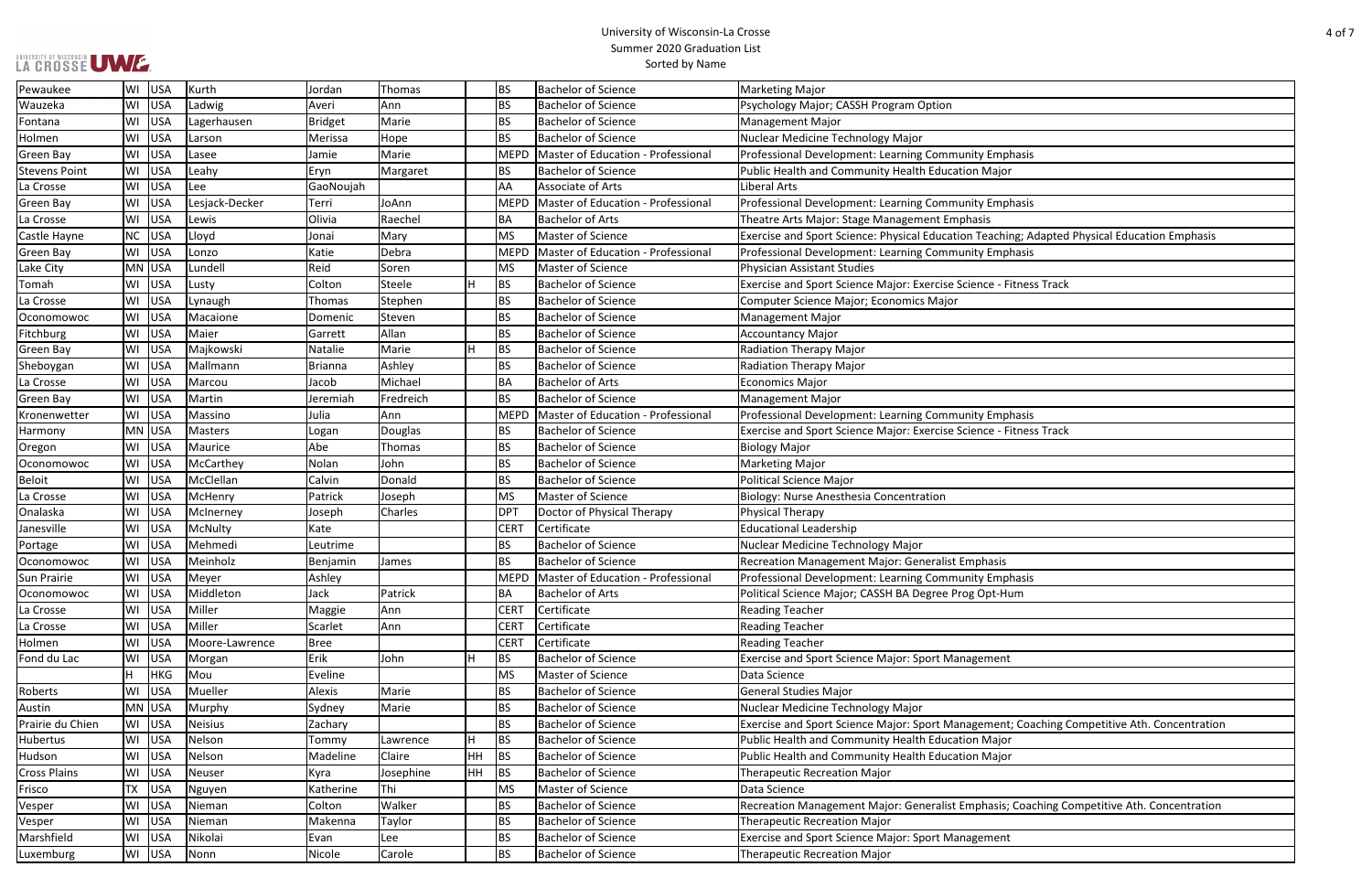| hasis                                      |
|--------------------------------------------|
| r                                          |
|                                            |
| hasis                                      |
|                                            |
| ing; Adapted Physical Education Emphasis   |
| hasis                                      |
|                                            |
| itness Track                               |
|                                            |
|                                            |
|                                            |
|                                            |
|                                            |
|                                            |
|                                            |
|                                            |
| hasis                                      |
| itness Track                               |
|                                            |
|                                            |
|                                            |
|                                            |
|                                            |
|                                            |
|                                            |
|                                            |
| hasis                                      |
| um                                         |
|                                            |
|                                            |
|                                            |
|                                            |
| t                                          |
|                                            |
|                                            |
|                                            |
| t; Coaching Competitive Ath. Concentration |
| r                                          |
| r                                          |
|                                            |
|                                            |
| Coaching Competitive Ath. Concentration    |
|                                            |
| t                                          |
|                                            |

| Pewaukee             |    | WI USA     | Kurth          | Jordan         | Thomas    |    | BS              | <b>Bachelor of Science</b>                | <b>Marketing Major</b>                                                                       |
|----------------------|----|------------|----------------|----------------|-----------|----|-----------------|-------------------------------------------|----------------------------------------------------------------------------------------------|
| Wauzeka              |    | WI USA     | Ladwig         | Averi          | Ann       |    | <b>BS</b>       | <b>Bachelor of Science</b>                | Psychology Major; CASSH Program Option                                                       |
| Fontana              |    | WI USA     | Lagerhausen    | <b>Bridget</b> | Marie     |    | <b>BS</b>       | <b>Bachelor of Science</b>                | <b>Management Major</b>                                                                      |
| Holmen               |    | WI USA     | Larson         | Merissa        | Hope      |    | BS              | <b>Bachelor of Science</b>                | Nuclear Medicine Technology Major                                                            |
| Green Bay            |    | WI USA     | Lasee          | Jamie          | Marie     |    | <b>MEPD</b>     | Master of Education - Professional        | Professional Development: Learning Community Emphasis                                        |
| <b>Stevens Point</b> |    | WI USA     | Leahy          | Eryn           | Margaret  |    | BS              | <b>Bachelor of Science</b>                | Public Health and Community Health Education Major                                           |
| La Crosse            |    | WI USA     | Lee            | GaoNoujah      |           |    | AA              | Associate of Arts                         | Liberal Arts                                                                                 |
| <b>Green Bay</b>     |    | WI USA     | Lesjack-Decker | Terri          | JoAnn     |    | <b>MEPD</b>     | Master of Education - Professional        | Professional Development: Learning Community Emphasis                                        |
| La Crosse            |    | WI USA     | Lewis          | Olivia         | Raechel   |    | BА              | <b>Bachelor of Arts</b>                   | Theatre Arts Major: Stage Management Emphasis                                                |
| Castle Hayne         |    | NC USA     | Lloyd          | Jonai          | Mary      |    | <b>MS</b>       | Master of Science                         | Exercise and Sport Science: Physical Education Teaching; Adapted Physical Education Emphasis |
| Green Bay            |    | WI USA     | Lonzo          | Katie          | Debra     |    | MEPD            | Master of Education - Professional        | Professional Development: Learning Community Emphasis                                        |
| Lake City            |    | MN USA     | Lundell        | Reid           | Soren     |    | <b>MS</b>       | Master of Science                         | <b>Physician Assistant Studies</b>                                                           |
| Tomah                |    | WI USA     | Lusty          | Colton         | Steele    | H  | <b>BS</b>       | <b>Bachelor of Science</b>                | Exercise and Sport Science Major: Exercise Science - Fitness Track                           |
| La Crosse            |    | WI USA     | Lynaugh        | Thomas         | Stephen   |    | <b>BS</b>       | <b>Bachelor of Science</b>                | Computer Science Major; Economics Major                                                      |
| Oconomowoc           |    | WI USA     | Macaione       | Domenic        | Steven    |    | <b>BS</b>       | <b>Bachelor of Science</b>                | <b>Management Major</b>                                                                      |
| Fitchburg            |    | WI USA     | Maier          | Garrett        | Allan     |    | BS              | <b>Bachelor of Science</b>                | <b>Accountancy Major</b>                                                                     |
| <b>Green Bay</b>     |    | WI USA     | Majkowski      | Natalie        | Marie     | ΙH | <b>BS</b>       | <b>Bachelor of Science</b>                | Radiation Therapy Major                                                                      |
| Sheboygan            |    | WI USA     | Mallmann       | <b>Brianna</b> | Ashley    |    | <b>BS</b>       | <b>Bachelor of Science</b>                | Radiation Therapy Major                                                                      |
| La Crosse            |    | WI USA     | Marcou         | Jacob          | Michael   |    | ВA              | <b>Bachelor of Arts</b>                   | <b>Economics Major</b>                                                                       |
| <b>Green Bay</b>     |    | WI USA     | Martin         | Jeremiah       | Fredreich |    | <b>BS</b>       | <b>Bachelor of Science</b>                | <b>Management Major</b>                                                                      |
| Kronenwetter         |    | WI USA     | Massino        | Julia          | Ann       |    | <b>MEPD</b>     | Master of Education - Professional        | Professional Development: Learning Community Emphasis                                        |
| Harmony              |    | MN USA     | <b>Masters</b> | Logan          | Douglas   |    | <b>BS</b>       | <b>Bachelor of Science</b>                | Exercise and Sport Science Major: Exercise Science - Fitness Track                           |
| Oregon               |    | WI USA     | Maurice        | Abe            | Thomas    |    | BS              | <b>Bachelor of Science</b>                | <b>Biology Major</b>                                                                         |
| Oconomowoc           |    | WI USA     | McCarthey      | Nolan          | John      |    | <b>BS</b>       | <b>Bachelor of Science</b>                | <b>Marketing Major</b>                                                                       |
| <b>Beloit</b>        |    | WI USA     | McClellan      | Calvin         | Donald    |    | <b>BS</b>       | <b>Bachelor of Science</b>                | <b>Political Science Major</b>                                                               |
| La Crosse            |    | WI USA     | McHenry        | Patrick        | Joseph    |    | <b>MS</b>       | Master of Science                         | Biology: Nurse Anesthesia Concentration                                                      |
| Onalaska             |    | WI USA     | McInerney      | Joseph         | Charles   |    | DP <sub>1</sub> | Doctor of Physical Therapy                | Physical Therapy                                                                             |
| Janesville           |    | WI USA     | McNulty        | Kate           |           |    | <b>CERT</b>     | Certificate                               | <b>Educational Leadership</b>                                                                |
| Portage              |    | WI USA     | Mehmedi        | Leutrime       |           |    | <b>BS</b>       | <b>Bachelor of Science</b>                | Nuclear Medicine Technology Major                                                            |
| Oconomowoc           |    | WI USA     | Meinholz       | Benjamin       | James     |    | <b>BS</b>       | <b>Bachelor of Science</b>                | Recreation Management Major: Generalist Emphasis                                             |
| Sun Prairie          |    | WI USA     | Meyer          | Ashley         |           |    |                 | MEPD   Master of Education - Professional | Professional Development: Learning Community Emphasis                                        |
| Oconomowoc           |    | WI USA     | Middleton      | Jack           | Patrick   |    | BA              | <b>Bachelor of Arts</b>                   | Political Science Major; CASSH BA Degree Prog Opt-Hum                                        |
| La Crosse            |    | WI USA     | Miller         | Maggie         | Ann       |    | <b>CERT</b>     | Certificate                               | <b>Reading Teacher</b>                                                                       |
| La Crosse            |    | WI USA     | Miller         | Scarlet        | Ann       |    | <b>CERT</b>     | Certificate                               | <b>Reading Teacher</b>                                                                       |
| Holmen               |    | WI USA     | Moore-Lawrence | <b>Bree</b>    |           |    | <b>CERT</b>     | Certificate                               | <b>Reading Teacher</b>                                                                       |
| Fond du Lac          |    | WI USA     | Morgan         | Erik           | John      | Н  | <b>BS</b>       | <b>Bachelor of Science</b>                | <b>Exercise and Sport Science Major: Sport Management</b>                                    |
|                      | H. | <b>HKG</b> | Mou            | Eveline        |           |    | <b>MS</b>       | Master of Science                         | Data Science                                                                                 |
| Roberts              |    | WI USA     | Mueller        | Alexis         | Marie     |    | <b>BS</b>       | <b>Bachelor of Science</b>                | <b>General Studies Major</b>                                                                 |
| Austin               |    | MN USA     | Murphy         | Sydney         | Marie     |    | <b>BS</b>       | <b>Bachelor of Science</b>                | Nuclear Medicine Technology Major                                                            |
| Prairie du Chien     |    | WI USA     | Neisius        | Zachary        |           |    | BS              | <b>Bachelor of Science</b>                | Exercise and Sport Science Major: Sport Management; Coaching Competitive Ath. Concentratior  |
| Hubertus             |    | WI USA     | Nelson         | Tommy          | Lawrence  | H  | <b>BS</b>       | <b>Bachelor of Science</b>                | Public Health and Community Health Education Major                                           |
| Hudson               |    | WI USA     | Nelson         | Madeline       | Claire    | HH | <b>BS</b>       | <b>Bachelor of Science</b>                | Public Health and Community Health Education Major                                           |
| <b>Cross Plains</b>  |    | WI USA     | Neuser         | Kyra           | Josephine | HH | <b>BS</b>       | <b>Bachelor of Science</b>                | <b>Therapeutic Recreation Major</b>                                                          |
| Frisco               |    | TX USA     | Nguyen         | Katherine      | Thi       |    | <b>MS</b>       | Master of Science                         | Data Science                                                                                 |
| Vesper               |    | WI USA     | Nieman         | Colton         | Walker    |    | BS.             | <b>Bachelor of Science</b>                | Recreation Management Major: Generalist Emphasis; Coaching Competitive Ath. Concentration    |
| Vesper               |    | WI USA     | Nieman         | Makenna        | Taylor    |    | BS              | <b>Bachelor of Science</b>                | <b>Therapeutic Recreation Major</b>                                                          |
| Marshfield           |    | WI USA     | Nikolai        | Evan           | Lee       |    | BS              | <b>Bachelor of Science</b>                | <b>Exercise and Sport Science Major: Sport Management</b>                                    |
| Luxemburg            |    | WI USA     | Nonn           | Nicole         | Carole    |    | <b>BS</b>       | <b>Bachelor of Science</b>                | <b>Therapeutic Recreation Major</b>                                                          |
|                      |    |            |                |                |           |    |                 |                                           |                                                                                              |

UNIVERSITY OF WISCONSIN UW E.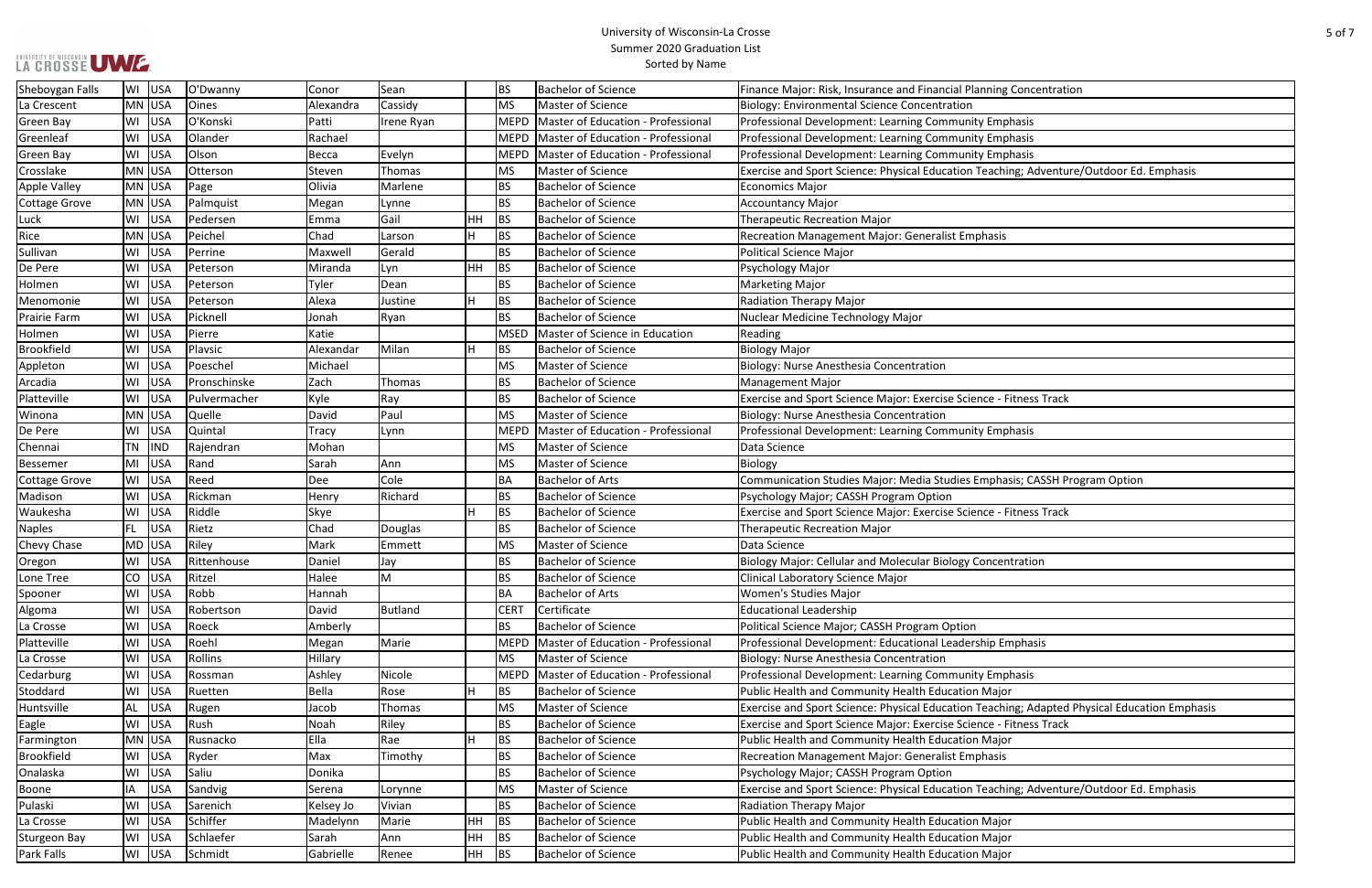| Concentration                           |
|-----------------------------------------|
|                                         |
|                                         |
| hasis                                   |
| hasis                                   |
| hasis                                   |
| ng; Adventure/Outdoor Ed. Emphasis      |
|                                         |
|                                         |
|                                         |
|                                         |
|                                         |
|                                         |
|                                         |
|                                         |
|                                         |
|                                         |
|                                         |
|                                         |
|                                         |
|                                         |
|                                         |
| itness Track                            |
|                                         |
| hasis                                   |
|                                         |
|                                         |
| sis; CASSH Program Option               |
|                                         |
| itness Track                            |
|                                         |
|                                         |
|                                         |
| tration                                 |
|                                         |
|                                         |
|                                         |
|                                         |
|                                         |
| nphasis                                 |
|                                         |
| hasis                                   |
| r                                       |
| ng; Adapted Physical Education Emphasis |
| itness Track                            |
| r                                       |
|                                         |
|                                         |
|                                         |
| ng; Adventure/Outdoor Ed. Emphasis      |
|                                         |
| r                                       |
|                                         |
| $\frac{r}{r}$                           |

| <b>LA GROSSE UWE.</b> |                  |              |              |            |     |             | JUIIIIIIEI ZUZU JIAUUALIUII LISL<br>Sorted by Name |                                                                                              |
|-----------------------|------------------|--------------|--------------|------------|-----|-------------|----------------------------------------------------|----------------------------------------------------------------------------------------------|
| Sheboygan Falls       | WI USA           | O'Dwanny     | Conor        | Sean       |     | <b>BS</b>   | <b>Bachelor of Science</b>                         | Finance Major: Risk, Insurance and Financial Planning Concentration                          |
| La Crescent           | MN USA           | Oines        | Alexandra    | Cassidy    |     | <b>MS</b>   | Master of Science                                  | <b>Biology: Environmental Science Concentration</b>                                          |
| Green Bay             | USA<br>WI        | O'Konski     | Patti        | Irene Ryan |     | <b>MEPD</b> | Master of Education - Professional                 | Professional Development: Learning Community Emphasis                                        |
| Greenleaf             | USA<br>WI        | Olander      | Rachael      |            |     | <b>MEPD</b> | Master of Education - Professional                 | Professional Development: Learning Community Emphasis                                        |
| Green Bay             | USA<br>WI        | Olson        | Becca        | Evelyn     |     | <b>MEPD</b> | Master of Education - Professional                 | Professional Development: Learning Community Emphasis                                        |
| Crosslake             | MN USA           | Otterson     | Steven       | Thomas     |     | MS          | Master of Science                                  | Exercise and Sport Science: Physical Education Teaching; Adventure/Outdoor Ed. Emphasis      |
| <b>Apple Valley</b>   | MN USA           | Page         | Olivia       | Marlene    |     | <b>BS</b>   | <b>Bachelor of Science</b>                         | <b>Economics Major</b>                                                                       |
| Cottage Grove         | MN USA           | Palmquist    | Megan        | Lynne      |     | <b>BS</b>   | <b>Bachelor of Science</b>                         | <b>Accountancy Major</b>                                                                     |
| Luck                  | WI USA           | Pedersen     | Emma         | Gail       | HH. | BS          | <b>Bachelor of Science</b>                         | <b>Therapeutic Recreation Major</b>                                                          |
| Rice                  | MN USA           | Peichel      | Chad         | Larson     | н   | <b>BS</b>   | <b>Bachelor of Science</b>                         | Recreation Management Major: Generalist Emphasis                                             |
| Sullivan              | USA<br>WI        | Perrine      | Maxwel       | Gerald     |     | <b>BS</b>   | <b>Bachelor of Science</b>                         | <b>Political Science Major</b>                                                               |
| De Pere               | USA<br>W١        | Peterson     | Miranda      | Lyn        | HH  | BS          | <b>Bachelor of Science</b>                         | Psychology Major                                                                             |
| Holmen                | USA<br>WI        | Peterson     | Tyler        | Dean       |     | <b>BS</b>   | <b>Bachelor of Science</b>                         | <b>Marketing Major</b>                                                                       |
| Menomonie             | USA<br>WI        | Peterson     | Alexa        | Justine    | Η   | <b>BS</b>   | <b>Bachelor of Science</b>                         | <b>Radiation Therapy Major</b>                                                               |
| Prairie Farm          | USA<br>WI        | Picknell     | Jonah        | Ryan       |     | <b>BS</b>   | Bachelor of Science                                | Nuclear Medicine Technology Major                                                            |
| Holmen                | USA<br>W١        | Pierre       | Katie        |            |     | <b>MSED</b> | Master of Science in Education                     | Reading                                                                                      |
| <b>Brookfield</b>     | USA<br>WI        | Playsic      | Alexandar    | Milan      | H   | <b>BS</b>   | Bachelor of Science                                | <b>Biology Major</b>                                                                         |
| Appleton              | USA<br>WI        | Poeschel     | Michael      |            |     | <b>MS</b>   | Master of Science                                  | Biology: Nurse Anesthesia Concentration                                                      |
| Arcadia               | USA<br>WI        | Pronschinske | Zach         | Thomas     |     | <b>BS</b>   | <b>Bachelor of Science</b>                         | <b>Management Major</b>                                                                      |
| Platteville           | USA<br>WI        | Pulvermacher | Kyle         | Ray        |     | <b>BS</b>   | <b>Bachelor of Science</b>                         | Exercise and Sport Science Major: Exercise Science - Fitness Track                           |
| Winona                | MN USA           | Quelle       | David        | Paul       |     | <b>MS</b>   | Master of Science                                  | Biology: Nurse Anesthesia Concentration                                                      |
| De Pere               | USA<br>W١        | Quintal      | <b>Tracy</b> | Lynn       |     | <b>MEPD</b> | Master of Education - Professional                 | Professional Development: Learning Community Emphasis                                        |
| Chennai               | <b>IND</b><br>ΤN | Rajendran    | Mohan        |            |     | MS          | Master of Science                                  | Data Science                                                                                 |
| Bessemer              | MI<br><b>USA</b> | Rand         | Sarah        | Ann        |     | <b>MS</b>   | Master of Science                                  | Biology                                                                                      |
| <b>Cottage Grove</b>  | USA<br>WI        | Reed         | Dee          | Cole       |     | <b>BA</b>   | <b>Bachelor of Arts</b>                            | Communication Studies Major: Media Studies Emphasis; CASSH Program Option                    |
| Madison               | USA<br>WI        | Rickman      | Henry        | Richard    |     | <b>BS</b>   | <b>Bachelor of Science</b>                         | Psychology Major; CASSH Program Option                                                       |
| Waukesha              | USA<br>WI        | Riddle       | Skye         |            | Н   | <b>BS</b>   | <b>Bachelor of Science</b>                         | Exercise and Sport Science Major: Exercise Science - Fitness Track                           |
| <b>Naples</b>         | USA<br>FL.       | Rietz        | Chad         | Douglas    |     | <b>BS</b>   | <b>Bachelor of Science</b>                         | <b>Therapeutic Recreation Major</b>                                                          |
| Chevy Chase           | MD USA           | Riley        | Mark         | Emmett     |     | <b>MS</b>   | Master of Science                                  | Data Science                                                                                 |
| Oregon                | USA<br>WI        | Rittenhouse  | Daniel       | Jay        |     | <b>BS</b>   | Bachelor of Science                                | Biology Major: Cellular and Molecular Biology Concentration                                  |
| Lone Tree             | USA<br>CO        | Ritzel       | Halee        | M          |     | BS          | <b>Bachelor of Science</b>                         | Clinical Laboratory Science Major                                                            |
| Spooner               | USA<br>WI        | Robb         | Hannah       |            |     | <b>BA</b>   | Bachelor of Arts                                   | Women's Studies Major                                                                        |
| Algoma                | USA<br>WI        | Robertson    | David        | Butland    |     | <b>CERT</b> | Certificate                                        | <b>Educational Leadership</b>                                                                |
| La Crosse             | USA<br>WI        | Roeck        | Amberly      |            |     | BS          | <b>Bachelor of Science</b>                         | Political Science Major; CASSH Program Option                                                |
| Platteville           | USA<br>WI        | Roehl        | Megan        | Marie      |     | MEPD        | Master of Education - Professional                 | Professional Development: Educational Leadership Emphasis                                    |
| La Crosse             | USA<br>WI        | Rollins      | Hillary      |            |     | MS          | Master of Science                                  | Biology: Nurse Anesthesia Concentration                                                      |
| Cedarburg             | WI USA           | Rossman      | Ashley       | Nicole     |     | <b>MEPD</b> | Master of Education - Professional                 | Professional Development: Learning Community Emphasis                                        |
| Stoddard              | USA<br>WI        | Ruetten      | Bella        | Rose       | H   | <b>BS</b>   | <b>Bachelor of Science</b>                         | Public Health and Community Health Education Major                                           |
| Huntsville            | USA<br>AL.       | Rugen        | Jacob        | Thomas     |     | <b>MS</b>   | Master of Science                                  | Exercise and Sport Science: Physical Education Teaching; Adapted Physical Education Emphasis |
| Eagle                 | USA<br>WI        | Rush         | Noah         | Riley      |     | BS          | <b>Bachelor of Science</b>                         | Exercise and Sport Science Major: Exercise Science - Fitness Track                           |
| Farmington            | MN USA           | Rusnacko     | Ella         | Rae        | H   | <b>BS</b>   | <b>Bachelor of Science</b>                         | Public Health and Community Health Education Major                                           |
| <b>Brookfield</b>     | WI USA           | Ryder        | Max          | Timothy    |     | <b>BS</b>   | <b>Bachelor of Science</b>                         | Recreation Management Major: Generalist Emphasis                                             |
| Onalaska              | USA<br>WI        | Saliu        | Donika       |            |     | <b>BS</b>   | <b>Bachelor of Science</b>                         | Psychology Major; CASSH Program Option                                                       |
| Boone                 | USA<br>IA        | Sandvig      | Serena       | Lorynne    |     | <b>MS</b>   | Master of Science                                  | Exercise and Sport Science: Physical Education Teaching; Adventure/Outdoor Ed. Emphasis      |
| Pulaski               | USA<br>WI        | Sarenich     | Kelsey Jo    | Vivian     |     | <b>BS</b>   | <b>Bachelor of Science</b>                         | Radiation Therapy Major                                                                      |
| La Crosse             | USA<br>WI        | Schiffer     | Madelynn     | Marie      | HH  | BS          | <b>Bachelor of Science</b>                         | Public Health and Community Health Education Major                                           |
| Sturgeon Bay          | USA<br>WI        | Schlaefer    | Sarah        | Ann        | HH  | BS          | <b>Bachelor of Science</b>                         | Public Health and Community Health Education Major                                           |
| Park Falls            | WI USA           | Schmidt      | Gabrielle    | Renee      | HH. | BS          | <b>Bachelor of Science</b>                         | Public Health and Community Health Education Major                                           |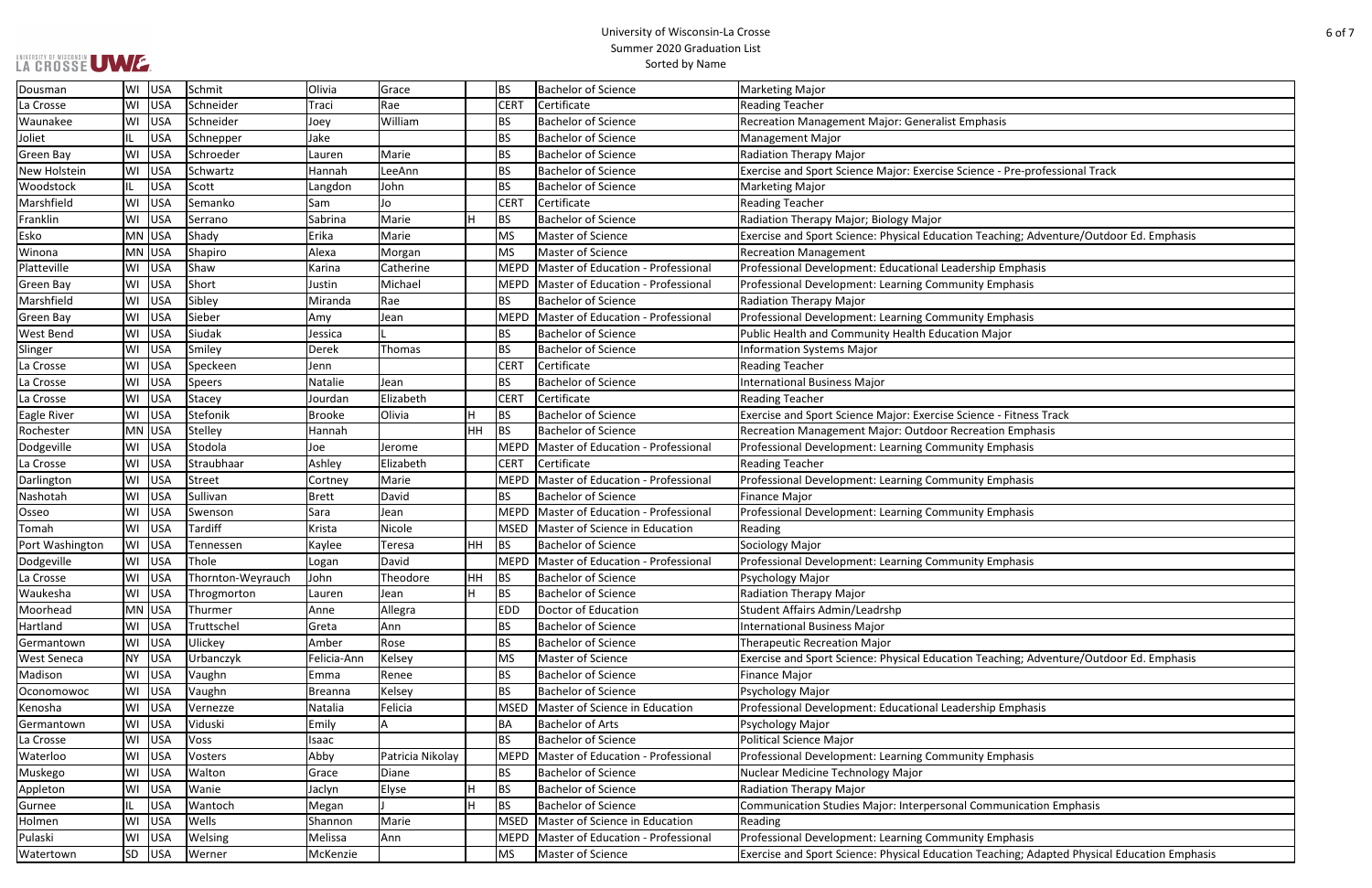| re-professional Track                   |
|-----------------------------------------|
|                                         |
|                                         |
|                                         |
|                                         |
| ng; Adventure/Outdoor Ed. Emphasis      |
|                                         |
| nphasis                                 |
|                                         |
| hasis                                   |
|                                         |
| hasis                                   |
| r                                       |
|                                         |
|                                         |
|                                         |
|                                         |
|                                         |
| itness Track                            |
| <b>Emphasis</b>                         |
| hasis                                   |
|                                         |
|                                         |
| hasis                                   |
|                                         |
| hasis                                   |
|                                         |
|                                         |
|                                         |
| hasis                                   |
|                                         |
|                                         |
|                                         |
|                                         |
|                                         |
|                                         |
| ng; Adventure/Outdoor Ed. Emphasis      |
|                                         |
|                                         |
| nphasis                                 |
|                                         |
|                                         |
|                                         |
| hasis                                   |
|                                         |
|                                         |
| nication Emphasis                       |
|                                         |
| hasis                                   |
|                                         |
| ng; Adapted Physical Education Emphasis |

| Dousman            | WI  | <b>USA</b> | Schmit            | Olivia         | Grace            |    | BS          | <b>Bachelor of Science</b>         | <b>Marketing Major</b>                                                                       |
|--------------------|-----|------------|-------------------|----------------|------------------|----|-------------|------------------------------------|----------------------------------------------------------------------------------------------|
| La Crosse          | WI  | <b>USA</b> | Schneider         | Traci          | Rae              |    | <b>CERT</b> | Certificate                        | <b>Reading Teacher</b>                                                                       |
| Waunakee           | WI  | <b>USA</b> | Schneider         | Joey           | William          |    | <b>BS</b>   | <b>Bachelor of Science</b>         | <b>Recreation Management Major: Generalist Emphasis</b>                                      |
| Joliet             |     | <b>USA</b> | Schnepper         | Jake           |                  |    | <b>BS</b>   | <b>Bachelor of Science</b>         | Management Major                                                                             |
| <b>Green Bay</b>   | WI  | USA        | Schroeder         | Lauren         | Marie            |    | <b>BS</b>   | <b>Bachelor of Science</b>         | Radiation Therapy Major                                                                      |
| New Holstein       | WI  | USA        | Schwartz          | Hannah         | LeeAnn           |    | <b>BS</b>   | <b>Bachelor of Science</b>         | Exercise and Sport Science Major: Exercise Science - Pre-professional Track                  |
| Woodstock          | IL. | <b>USA</b> | Scott             | Langdon        | John             |    | <b>BS</b>   | <b>Bachelor of Science</b>         | <b>Marketing Major</b>                                                                       |
| Marshfield         | WI  | USA        | Semanko           | Sam            | Jo               |    | <b>CERT</b> | Certificate                        | <b>Reading Teacher</b>                                                                       |
| Franklin           | WI  | USA        | Serrano           | Sabrina        | Marie            |    | BS          | <b>Bachelor of Science</b>         | Radiation Therapy Major; Biology Major                                                       |
| Esko               |     | MN USA     | Shady             | Erika          | Marie            |    | MS          | Master of Science                  | Exercise and Sport Science: Physical Education Teaching; Adventure/Outdoor Ed. Emphasis      |
| Winona             |     | MN USA     | Shapiro           | Alexa          | Morgan           |    | MS          | Master of Science                  | <b>Recreation Management</b>                                                                 |
| Platteville        |     | WI USA     | Shaw              | Karina         | Catherine        |    | MEPD        | Master of Education - Professional | Professional Development: Educational Leadership Emphasis                                    |
| Green Bay          |     | WI USA     | Short             | Justin         | Michael          |    | MEPD        | Master of Education - Professional | Professional Development: Learning Community Emphasis                                        |
| Marshfield         | WI  | USA        | Sibley            | Miranda        | Rae              |    | <b>BS</b>   | <b>Bachelor of Science</b>         | <b>Radiation Therapy Major</b>                                                               |
| Green Bay          | WI  | <b>USA</b> | Sieber            | Amy            | Jean             |    | <b>MEPD</b> | Master of Education - Professional | Professional Development: Learning Community Emphasis                                        |
| <b>West Bend</b>   | WI  | USA        | Siudak            | Jessica        |                  |    | <b>BS</b>   | <b>Bachelor of Science</b>         | Public Health and Community Health Education Major                                           |
| Slinger            | WI  | <b>USA</b> | Smiley            | Derek          | Thomas           |    | <b>BS</b>   | <b>Bachelor of Science</b>         | <b>Information Systems Major</b>                                                             |
| La Crosse          | WI  | USA        | Speckeen          | Jenn           |                  |    | <b>CERT</b> | Certificate                        | <b>Reading Teacher</b>                                                                       |
| La Crosse          |     | WI USA     | Speers            | Natalie        | Jean             |    | <b>BS</b>   | <b>Bachelor of Science</b>         | <b>International Business Major</b>                                                          |
| La Crosse          | WI  | USA        | Stacey            | Jourdan        | Elizabeth        |    | <b>CERT</b> | Certificate                        | <b>Reading Teacher</b>                                                                       |
| Eagle River        | WI  | USA        | Stefonik          | <b>Brooke</b>  | Olivia           |    | BS          | <b>Bachelor of Science</b>         | Exercise and Sport Science Major: Exercise Science - Fitness Track                           |
| Rochester          |     | MN USA     | Stelley           | Hannah         |                  | HH | BS          | <b>Bachelor of Science</b>         | Recreation Management Major: Outdoor Recreation Emphasis                                     |
| Dodgeville         |     | WI USA     | Stodola           | Joe            | Jerome           |    | MEPD        | Master of Education - Professional | Professional Development: Learning Community Emphasis                                        |
| La Crosse          | WI  | USA        | Straubhaar        | Ashley         | Elizabeth        |    | <b>CERT</b> | Certificate                        | <b>Reading Teacher</b>                                                                       |
| Darlington         | WI  | USA        | Street            | Cortney        | Marie            |    | MEPD        | Master of Education - Professional | Professional Development: Learning Community Emphasis                                        |
| Nashotah           | WI  | USA        | Sullivan          | <b>Brett</b>   | David            |    | <b>BS</b>   | <b>Bachelor of Science</b>         | Finance Major                                                                                |
| Osseo              | WI  | <b>USA</b> | Swenson           | Sara           | Jean             |    | MEPD        | Master of Education - Professional | Professional Development: Learning Community Emphasis                                        |
| Tomah              | WI  | <b>USA</b> | Tardiff           | Krista         | Nicole           |    | <b>MSED</b> | Master of Science in Education     | Reading                                                                                      |
| Port Washington    | WI  | USA        | Tennessen         | Kaylee         | <b>Teresa</b>    | HH | <b>BS</b>   | <b>Bachelor of Science</b>         | Sociology Major                                                                              |
| Dodgeville         | WI  | USA        | Thole             | Logan          | David            |    | <b>MEPD</b> | Master of Education - Professional | Professional Development: Learning Community Emphasis                                        |
| La Crosse          |     | WI USA     | Thornton-Weyrauch | John           | Theodore         | HH | BS          | <b>Bachelor of Science</b>         | Psychology Major                                                                             |
| Waukesha           |     | WI USA     | Throgmorton       | Lauren         | Jean             |    | BS          | <b>Bachelor of Science</b>         | Radiation Therapy Major                                                                      |
| Moorhead           |     | MN USA     | Thurmer           | Anne           | Allegra          |    | <b>EDD</b>  | Doctor of Education                | Student Affairs Admin/Leadrshp                                                               |
| Hartland           | WI  | <b>USA</b> | Truttschel        | Greta          | Ann              |    | BS          | <b>Bachelor of Science</b>         | <b>International Business Major</b>                                                          |
| Germantown         |     | WI USA     | Ulickey           | Amber          | Rose             |    | <b>BS</b>   | <b>Bachelor of Science</b>         | <b>Therapeutic Recreation Major</b>                                                          |
| <b>West Seneca</b> |     | NY USA     | Urbanczyk         | Felicia-Ann    | Kelsey           |    | MS          | Master of Science                  | Exercise and Sport Science: Physical Education Teaching; Adventure/Outdoor Ed. Emphasis      |
| Madison            |     | WI USA     | Vaughn            | Emma           | Renee            |    | BS          | <b>Bachelor of Science</b>         | Finance Major                                                                                |
| Oconomowoc         |     | WI USA     | Vaughn            | <b>Breanna</b> | Kelsey           |    | BS          | <b>Bachelor of Science</b>         | Psychology Major                                                                             |
| Kenosha            |     | WI USA     | Vernezze          | Natalia        | Felicia          |    | MSED        | Master of Science in Education     | Professional Development: Educational Leadership Emphasis                                    |
| Germantown         |     | WI USA     | Viduski           | Emily          |                  |    | BA          | <b>Bachelor of Arts</b>            | Psychology Major                                                                             |
| La Crosse          | WI  | USA        | Voss              | Isaac          |                  |    | <b>BS</b>   | <b>Bachelor of Science</b>         | Political Science Major                                                                      |
| Waterloo           |     | WI USA     | Vosters           | Abby           | Patricia Nikolay |    | MEPD        | Master of Education - Professional | Professional Development: Learning Community Emphasis                                        |
| Muskego            |     | WI USA     | Walton            | Grace          | Diane            |    | BS          | <b>Bachelor of Science</b>         | Nuclear Medicine Technology Major                                                            |
| Appleton           |     | WI USA     | Wanie             | Jaclyn         | Elyse            | lн | BS          | <b>Bachelor of Science</b>         | <b>Radiation Therapy Major</b>                                                               |
| Gurnee             |     | <b>USA</b> | Wantoch           | Megan          |                  |    | <b>BS</b>   | <b>Bachelor of Science</b>         | Communication Studies Major: Interpersonal Communication Emphasis                            |
| Holmen             | WI  | USA        | Wells             | Shannon        | Marie            |    | MSED        | Master of Science in Education     | Reading                                                                                      |
| Pulaski            | WI  | <b>USA</b> | Welsing           | Melissa        | Ann              |    | <b>MEPD</b> | Master of Education - Professional | Professional Development: Learning Community Emphasis                                        |
| Watertown          |     | SD USA     | Werner            | McKenzie       |                  |    | MS          | Master of Science                  | Exercise and Sport Science: Physical Education Teaching; Adapted Physical Education Emphasis |
|                    |     |            |                   |                |                  |    |             |                                    |                                                                                              |

UNIVERSITY OF WISCONSIN UW E.